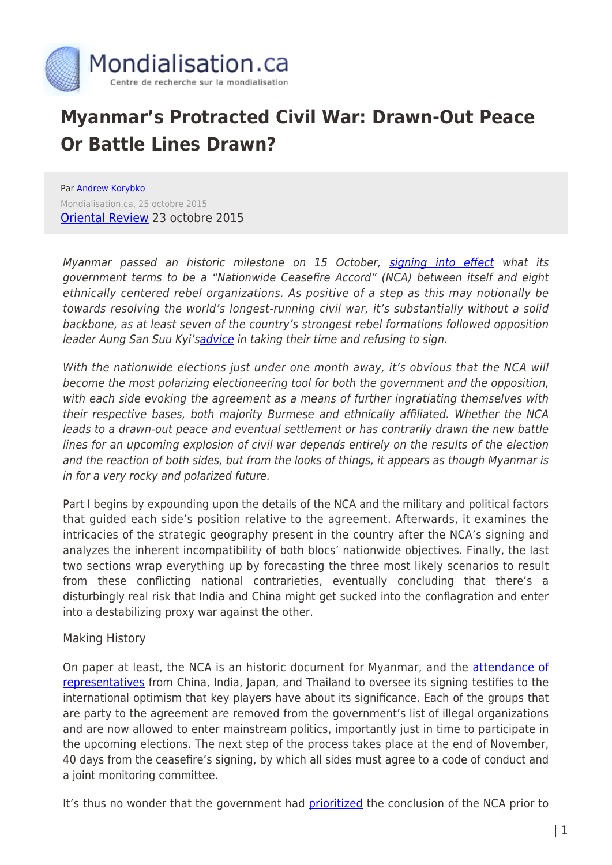

# **Myanmar's Protracted Civil War: Drawn-Out Peace Or Battle Lines Drawn?**

Par [Andrew Korybko](https://www.mondialisation.ca/author/andrew-korybko) Mondialisation.ca, 25 octobre 2015 [Oriental Review](http://orientalreview.org/2015/10/23/myanmar-drawn-out-peace-or-battle-lines-drawn-i/) 23 octobre 2015

Myanmar passed an historic milestone on 15 October, [signing into effect](http://sputniknews.com/asia/20151015/1028547123/Myanmar-Ceasefire.html#ixzz3ocNIGMIz) what its government terms to be a "Nationwide Ceasefire Accord" (NCA) between itself and eight ethnically centered rebel organizations. As positive of a step as this may notionally be towards resolving the world's longest-running civil war, it's substantially without a solid backbone, as at least seven of the country's strongest rebel formations followed opposition leader Aung San Suu Kyi's[advice](http://www.theguardian.com/world/2015/sep/07/aung-san-suu-kyi-tells-myanmar-rebel-groups-to-take-their-time-on-peace-deal) in taking their time and refusing to sign.

With the nationwide elections just under one month away, it's obvious that the NCA will become the most polarizing electioneering tool for both the government and the opposition, with each side evoking the agreement as a means of further ingratiating themselves with their respective bases, both majority Burmese and ethnically affiliated. Whether the NCA leads to a drawn-out peace and eventual settlement or has contrarily drawn the new battle lines for an upcoming explosion of civil war depends entirely on the results of the election and the reaction of both sides, but from the looks of things, it appears as though Myanmar is in for a very rocky and polarized future.

Part I begins by expounding upon the details of the NCA and the military and political factors that guided each side's position relative to the agreement. Afterwards, it examines the intricacies of the strategic geography present in the country after the NCA's signing and analyzes the inherent incompatibility of both blocs' nationwide objectives. Finally, the last two sections wrap everything up by forecasting the three most likely scenarios to result from these conflicting national contrarieties, eventually concluding that there's a disturbingly real risk that India and China might get sucked into the conflagration and enter into a destabilizing proxy war against the other.

# Making History

On paper at least, the NCA is an historic document for Myanmar, and the **[attendance of](http://www.straitstimes.com/asia/se-asia/myanmar-signs-ceasefire-accord-with-eight-of-16-ethnic-armed-groups)** [representatives](http://www.straitstimes.com/asia/se-asia/myanmar-signs-ceasefire-accord-with-eight-of-16-ethnic-armed-groups) from China, India, Japan, and Thailand to oversee its signing testifies to the international optimism that key players have about its significance. Each of the groups that are party to the agreement are removed from the government's list of illegal organizations and are now allowed to enter mainstream politics, importantly just in time to participate in the upcoming elections. The next step of the process takes place at the end of November, 40 days from the ceasefire's signing, by which all sides must agree to a code of conduct and a joint monitoring committee.

It's thus no wonder that the government had [prioritized](http://www.aljazeera.com/news/2015/09/myanmar-president-ceasefire-elections-150909062753824.html) the conclusion of the NCA prior to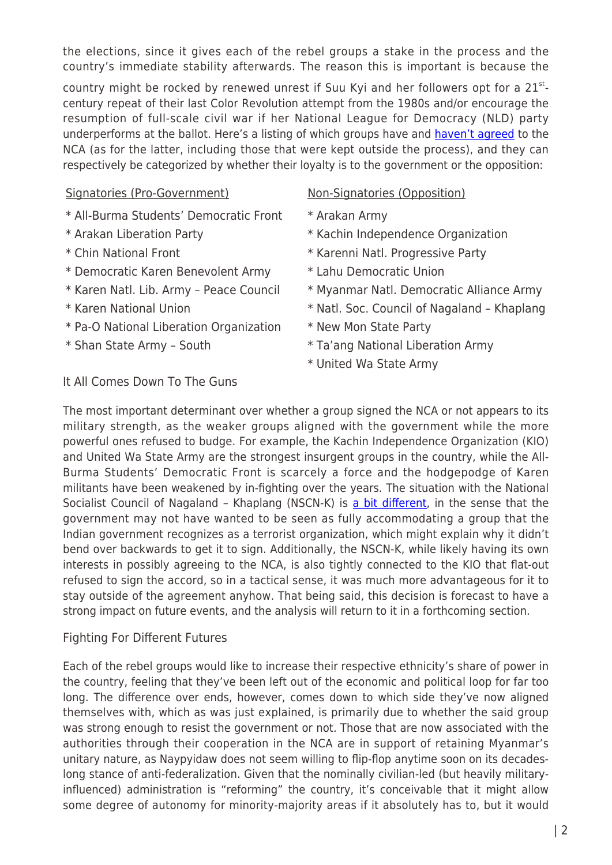the elections, since it gives each of the rebel groups a stake in the process and the country's immediate stability afterwards. The reason this is important is because the

country might be rocked by renewed unrest if Suu Kyi and her followers opt for a  $21^{st}$ century repeat of their last Color Revolution attempt from the 1980s and/or encourage the resumption of full-scale civil war if her National League for Democracy (NLD) party underperforms at the ballot. Here's a listing of which groups have and [haven't agreed](http://www.mmtimes.com/index.php/national-news/16791-kio-accuses-tatmadaw-of-trying-to-force-a-ceasefire.html) to the NCA (as for the latter, including those that were kept outside the process), and they can respectively be categorized by whether their loyalty is to the government or the opposition:

# Signatories (Pro-Government) Mon-Signatories (Opposition)

- \* All-Burma Students' Democratic Front \* Arakan Army
- 
- 
- \* Democratic Karen Benevolent Army \* Lahu Democratic Union
- 
- 
- \* Pa-O National Liberation Organization \* New Mon State Party
- 

- 
- \* Arakan Liberation Party \* Kachin Independence Organization
- \* Chin National Front \* Karenni Natl. Progressive Party
	-
- \* Karen Natl. Lib. Army Peace Council \* Myanmar Natl. Democratic Alliance Army
- \* Karen National Union \* \* Natl. Soc. Council of Nagaland Khaplang
	-
- \* Shan State Army South \* Ta'ang National Liberation Army
	- \* United Wa State Army

# It All Comes Down To The Guns

The most important determinant over whether a group signed the NCA or not appears to its military strength, as the weaker groups aligned with the government while the more powerful ones refused to budge. For example, the Kachin Independence Organization (KIO) and United Wa State Army are the strongest insurgent groups in the country, while the All-Burma Students' Democratic Front is scarcely a force and the hodgepodge of Karen militants have been weakened by in-fighting over the years. The situation with the National Socialist Council of Nagaland - Khaplang (NSCN-K) is [a bit different](http://www.thequint.com/opinion/2015/10/14/myanmar-seeks-to-please-india-by-keeping-nscnk-out-of-ceasefire), in the sense that the government may not have wanted to be seen as fully accommodating a group that the Indian government recognizes as a terrorist organization, which might explain why it didn't bend over backwards to get it to sign. Additionally, the NSCN-K, while likely having its own interests in possibly agreeing to the NCA, is also tightly connected to the KIO that flat-out refused to sign the accord, so in a tactical sense, it was much more advantageous for it to stay outside of the agreement anyhow. That being said, this decision is forecast to have a strong impact on future events, and the analysis will return to it in a forthcoming section.

# Fighting For Different Futures

Each of the rebel groups would like to increase their respective ethnicity's share of power in the country, feeling that they've been left out of the economic and political loop for far too long. The difference over ends, however, comes down to which side they've now aligned themselves with, which as was just explained, is primarily due to whether the said group was strong enough to resist the government or not. Those that are now associated with the authorities through their cooperation in the NCA are in support of retaining Myanmar's unitary nature, as Naypyidaw does not seem willing to flip-flop anytime soon on its decadeslong stance of anti-federalization. Given that the nominally civilian-led (but heavily militaryinfluenced) administration is "reforming" the country, it's conceivable that it might allow some degree of autonomy for minority-majority areas if it absolutely has to, but it would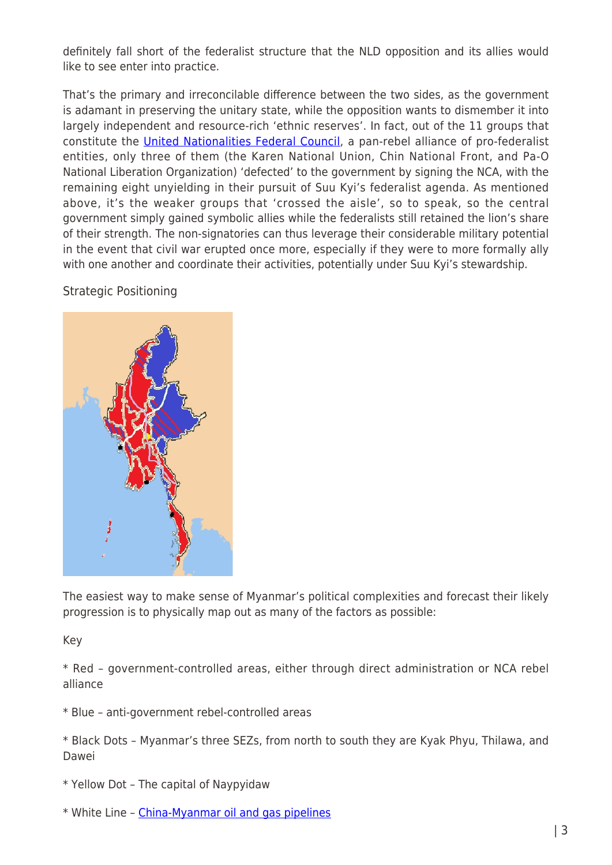definitely fall short of the federalist structure that the NLD opposition and its allies would like to see enter into practice.

That's the primary and irreconcilable difference between the two sides, as the government is adamant in preserving the unitary state, while the opposition wants to dismember it into largely independent and resource-rich 'ethnic reserves'. In fact, out of the 11 groups that constitute the [United Nationalities Federal Council,](http://www.mmpeacemonitor.org/stakeholders/unfc) a pan-rebel alliance of pro-federalist entities, only three of them (the Karen National Union, Chin National Front, and Pa-O National Liberation Organization) 'defected' to the government by signing the NCA, with the remaining eight unyielding in their pursuit of Suu Kyi's federalist agenda. As mentioned above, it's the weaker groups that 'crossed the aisle', so to speak, so the central government simply gained symbolic allies while the federalists still retained the lion's share of their strength. The non-signatories can thus leverage their considerable military potential in the event that civil war erupted once more, especially if they were to more formally ally with one another and coordinate their activities, potentially under Suu Kyi's stewardship.

# Strategic Positioning



The easiest way to make sense of Myanmar's political complexities and forecast their likely progression is to physically map out as many of the factors as possible:

Key

\* Red – government-controlled areas, either through direct administration or NCA rebel alliance

\* Blue – anti-government rebel-controlled areas

\* Black Dots – Myanmar's three SEZs, from north to south they are Kyak Phyu, Thilawa, and Dawei

- \* Yellow Dot The capital of Naypyidaw
- \* White Line [China-Myanmar oil and gas pipelines](http://www.oilseedcrops.org/wp-content/uploads/2013/01/Pipelines-through-Myanmar-to-China.jpg)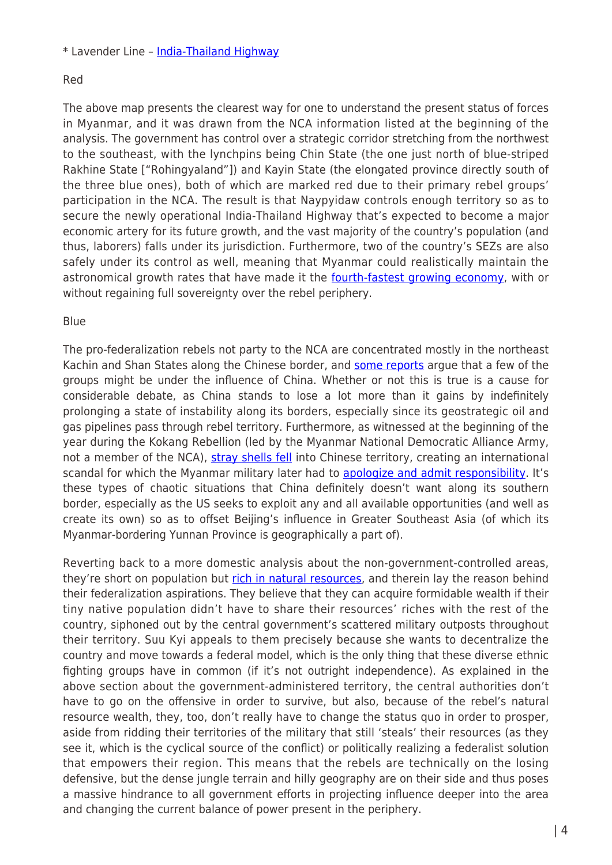\* Lavender Line – [India-Thailand Highway](http://www.businesstoday.in/sectors/infra/new-india-thailand-highway-now-operational-all-you-need-to-know/story/223410.html)

### Red

The above map presents the clearest way for one to understand the present status of forces in Myanmar, and it was drawn from the NCA information listed at the beginning of the analysis. The government has control over a strategic corridor stretching from the northwest to the southeast, with the lynchpins being Chin State (the one just north of blue-striped Rakhine State ["Rohingyaland"]) and Kayin State (the elongated province directly south of the three blue ones), both of which are marked red due to their primary rebel groups' participation in the NCA. The result is that Naypyidaw controls enough territory so as to secure the newly operational India-Thailand Highway that's expected to become a major economic artery for its future growth, and the vast majority of the country's population (and thus, laborers) falls under its jurisdiction. Furthermore, two of the country's SEZs are also safely under its control as well, meaning that Myanmar could realistically maintain the astronomical growth rates that have made it the [fourth-fastest growing economy](http://www.businessinsider.sg/world-bank-fast-growing-global-economies-2015-6/%20-%20.Vgpetd_tmko), with or without regaining full sovereignty over the rebel periphery.

#### Blue

The pro-federalization rebels not party to the NCA are concentrated mostly in the northeast Kachin and Shan States along the Chinese border, and [some reports](http://www.reuters.com/article/2015/10/08/us-myanmar-china-idUSKCN0S22VT20151008) argue that a few of the groups might be under the influence of China. Whether or not this is true is a cause for considerable debate, as China stands to lose a lot more than it gains by indefinitely prolonging a state of instability along its borders, especially since its geostrategic oil and gas pipelines pass through rebel territory. Furthermore, as witnessed at the beginning of the year during the Kokang Rebellion (led by the Myanmar National Democratic Alliance Army, not a member of the NCA), [stray shells fell](http://www.reuters.com/article/2015/04/28/us-china-myanmar-idUSKBN0NJ0X820150428) into Chinese territory, creating an international scandal for which the Myanmar military later had to [apologize and admit responsibility.](http://www.irrawaddy.org/burma/china-says-burma-apologizes-for-bombing-admits-responsibility.html) It's these types of chaotic situations that China definitely doesn't want along its southern border, especially as the US seeks to exploit any and all available opportunities (and well as create its own) so as to offset Beijing's influence in Greater Southeast Asia (of which its Myanmar-bordering Yunnan Province is geographically a part of).

Reverting back to a more domestic analysis about the non-government-controlled areas, they're short on population but [rich in natural resources,](http://thediplomat.com/2015/04/blood-teak-how-myanmars-natural-resources-fuel-ethnic-conflicts/) and therein lay the reason behind their federalization aspirations. They believe that they can acquire formidable wealth if their tiny native population didn't have to share their resources' riches with the rest of the country, siphoned out by the central government's scattered military outposts throughout their territory. Suu Kyi appeals to them precisely because she wants to decentralize the country and move towards a federal model, which is the only thing that these diverse ethnic fighting groups have in common (if it's not outright independence). As explained in the above section about the government-administered territory, the central authorities don't have to go on the offensive in order to survive, but also, because of the rebel's natural resource wealth, they, too, don't really have to change the status quo in order to prosper, aside from ridding their territories of the military that still 'steals' their resources (as they see it, which is the cyclical source of the conflict) or politically realizing a federalist solution that empowers their region. This means that the rebels are technically on the losing defensive, but the dense jungle terrain and hilly geography are on their side and thus poses a massive hindrance to all government efforts in projecting influence deeper into the area and changing the current balance of power present in the periphery.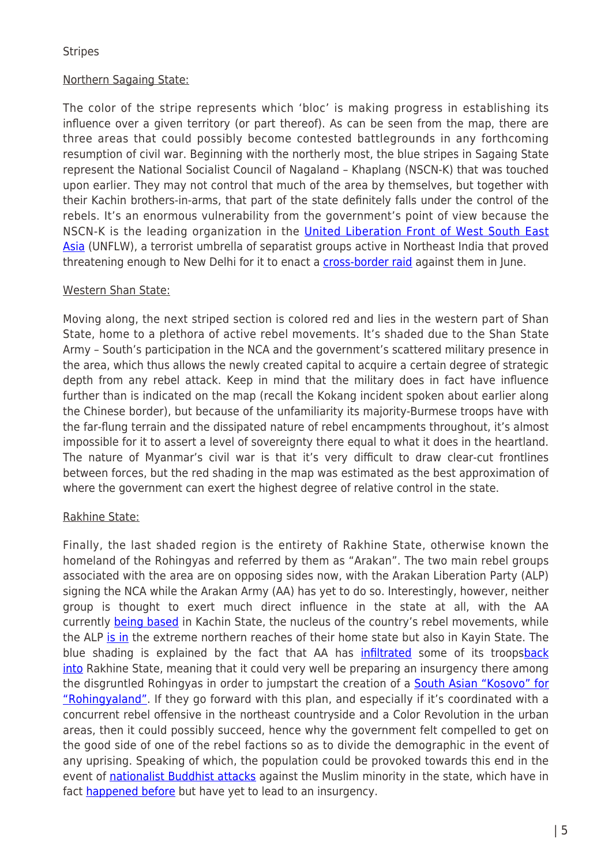### **Stripes**

# Northern Sagaing State:

The color of the stripe represents which 'bloc' is making progress in establishing its influence over a given territory (or part thereof). As can be seen from the map, there are three areas that could possibly become contested battlegrounds in any forthcoming resumption of civil war. Beginning with the northerly most, the blue stripes in Sagaing State represent the National Socialist Council of Nagaland – Khaplang (NSCN-K) that was touched upon earlier. They may not control that much of the area by themselves, but together with their Kachin brothers-in-arms, that part of the state definitely falls under the control of the rebels. It's an enormous vulnerability from the government's point of view because the NSCN-K is the leading organization in the [United Liberation Front of West South East](http://orientalreview.org/2015/06/22/a-secular-isil-rises-in-southeast-asia-i/) [Asia](http://orientalreview.org/2015/06/22/a-secular-isil-rises-in-southeast-asia-i/) (UNFLW), a terrorist umbrella of separatist groups active in Northeast India that proved threatening enough to New Delhi for it to enact a [cross-border raid](http://thesaker.is/indias-war-on-terror-moves-to-myanmar/) against them in June.

# Western Shan State:

Moving along, the next striped section is colored red and lies in the western part of Shan State, home to a plethora of active rebel movements. It's shaded due to the Shan State Army – South's participation in the NCA and the government's scattered military presence in the area, which thus allows the newly created capital to acquire a certain degree of strategic depth from any rebel attack. Keep in mind that the military does in fact have influence further than is indicated on the map (recall the Kokang incident spoken about earlier along the Chinese border), but because of the unfamiliarity its majority-Burmese troops have with the far-flung terrain and the dissipated nature of rebel encampments throughout, it's almost impossible for it to assert a level of sovereignty there equal to what it does in the heartland. The nature of Myanmar's civil war is that it's very difficult to draw clear-cut frontlines between forces, but the red shading in the map was estimated as the best approximation of where the government can exert the highest degree of relative control in the state.

# Rakhine State:

Finally, the last shaded region is the entirety of Rakhine State, otherwise known the homeland of the Rohingyas and referred by them as "Arakan". The two main rebel groups associated with the area are on opposing sides now, with the Arakan Liberation Party (ALP) signing the NCA while the Arakan Army (AA) has yet to do so. Interestingly, however, neither group is thought to exert much direct influence in the state at all, with the AA currently [being based](http://www.irrawaddy.org/burma/fighting-reported-between-govt-and-arakan-army.html) in Kachin State, the nucleus of the country's rebel movements, while the ALP [is in](http://www.mmpeacemonitor.org/research/monitoring-archive/157-alp) the extreme northern reaches of their home state but also in Kayin State. The blue shading is explained by the fact that AA has [infiltrated](http://www.irrawaddy.org/burma/fighting-reported-between-govt-and-arakan-army.html) some of its troops[back](http://english.panglong.org/the-arakan-armys-involvement-in-rakhine-state/) [into](http://english.panglong.org/the-arakan-armys-involvement-in-rakhine-state/) Rakhine State, meaning that it could very well be preparing an insurgency there among the disgruntled Rohingyas in order to jumpstart the creation of a **South Asian "Kosovo" for** ["Rohingyaland"](http://orientalreview.org/2015/06/09/american-plan-for-a-south-asian-kosovo-in-rohingyaland-i/). If they go forward with this plan, and especially if it's coordinated with a concurrent rebel offensive in the northeast countryside and a Color Revolution in the urban areas, then it could possibly succeed, hence why the government felt compelled to get on the good side of one of the rebel factions so as to divide the demographic in the event of any uprising. Speaking of which, the population could be provoked towards this end in the event of [nationalist Buddhist attacks](http://landdestroyer.blogspot.ru/2015/03/myanmar-meet-aung-san-suu-kyis-saffron.html) against the Muslim minority in the state, which have in fact [happened before](http://time.com/2956180/burma-mandalay-race-riots-sectarian-violence-buddhist-muslim/) but have yet to lead to an insurgency.